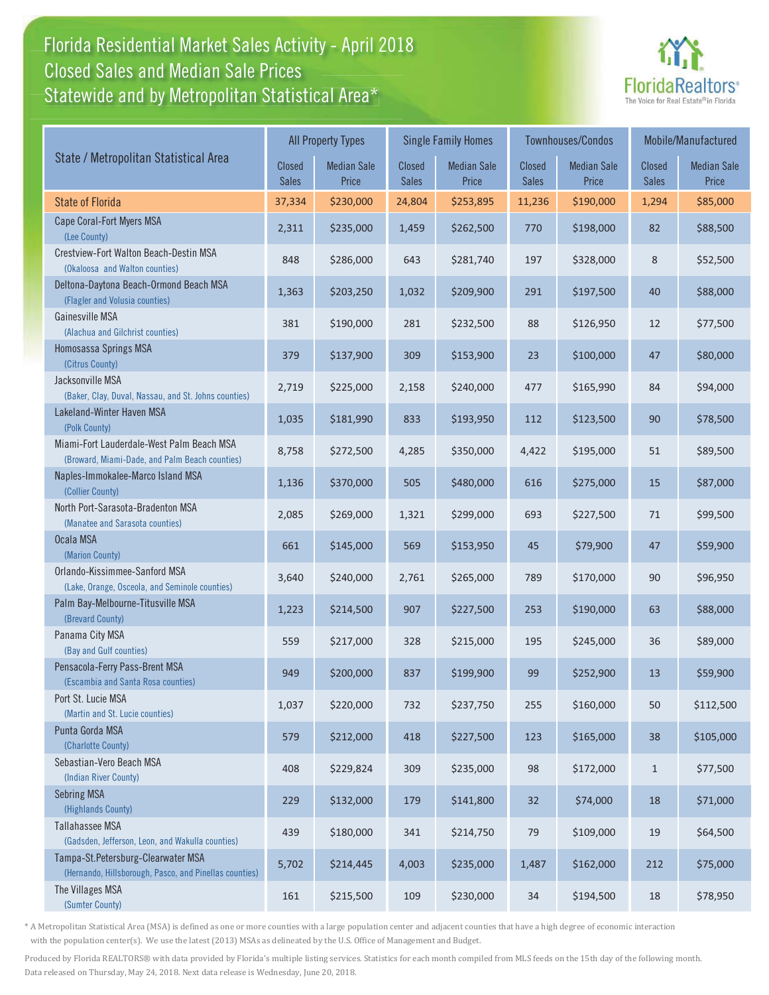## Florida Residential Market Sales Activity - April 2018 Florida Residential Market Sales Activity Statewide and by Metropolitan Statistical Area $^{\star}$ Closed Sales and Median Sale Prices



|                                                                                              | <b>All Property Types</b> |                             |                               | <b>Single Family Homes</b>  |                        | <b>Townhouses/Condos</b>    | Mobile/Manufactured    |                             |
|----------------------------------------------------------------------------------------------|---------------------------|-----------------------------|-------------------------------|-----------------------------|------------------------|-----------------------------|------------------------|-----------------------------|
| State / Metropolitan Statistical Area                                                        | Closed<br><b>Sales</b>    | <b>Median Sale</b><br>Price | <b>Closed</b><br><b>Sales</b> | <b>Median Sale</b><br>Price | Closed<br><b>Sales</b> | <b>Median Sale</b><br>Price | Closed<br><b>Sales</b> | <b>Median Sale</b><br>Price |
| <b>State of Florida</b>                                                                      | 37,334                    | \$230,000                   | 24,804                        | \$253,895                   | 11,236                 | \$190,000                   | 1,294                  | \$85,000                    |
| Cape Coral-Fort Myers MSA<br>(Lee County)                                                    | 2,311                     | \$235,000                   | 1,459                         | \$262,500                   | 770                    | \$198,000                   | 82                     | \$88,500                    |
| Crestview-Fort Walton Beach-Destin MSA<br>(Okaloosa and Walton counties)                     | 848                       | \$286,000                   | 643                           | \$281,740                   | 197                    | \$328,000                   | 8                      | \$52,500                    |
| Deltona-Daytona Beach-Ormond Beach MSA<br>(Flagler and Volusia counties)                     | 1,363                     | \$203,250                   | 1,032                         | \$209,900                   | 291                    | \$197,500                   | 40                     | \$88,000                    |
| Gainesville MSA<br>(Alachua and Gilchrist counties)                                          | 381                       | \$190,000                   | 281                           | \$232,500                   | 88                     | \$126,950                   | 12                     | \$77,500                    |
| Homosassa Springs MSA<br>(Citrus County)                                                     | 379                       | \$137,900                   | 309                           | \$153,900                   | 23                     | \$100,000                   | 47                     | \$80,000                    |
| Jacksonville MSA<br>(Baker, Clay, Duval, Nassau, and St. Johns counties)                     | 2,719                     | \$225,000                   | 2,158                         | \$240,000                   | 477                    | \$165,990                   | 84                     | \$94,000                    |
| Lakeland-Winter Haven MSA<br>(Polk County)                                                   | 1,035                     | \$181,990                   | 833                           | \$193,950                   | 112                    | \$123,500                   | 90                     | \$78,500                    |
| Miami-Fort Lauderdale-West Palm Beach MSA<br>(Broward, Miami-Dade, and Palm Beach counties)  | 8,758                     | \$272,500                   | 4,285                         | \$350,000                   | 4,422                  | \$195,000                   | 51                     | \$89,500                    |
| Naples-Immokalee-Marco Island MSA<br>(Collier County)                                        | 1,136                     | \$370,000                   | 505                           | \$480,000                   | 616                    | \$275,000                   | 15                     | \$87,000                    |
| North Port-Sarasota-Bradenton MSA<br>(Manatee and Sarasota counties)                         | 2,085                     | \$269,000                   | 1,321                         | \$299,000                   | 693                    | \$227,500                   | 71                     | \$99,500                    |
| Ocala MSA<br>(Marion County)                                                                 | 661                       | \$145,000                   | 569                           | \$153,950                   | 45                     | \$79,900                    | 47                     | \$59,900                    |
| Orlando-Kissimmee-Sanford MSA<br>(Lake, Orange, Osceola, and Seminole counties)              | 3,640                     | \$240,000                   | 2,761                         | \$265,000                   | 789                    | \$170,000                   | 90                     | \$96,950                    |
| Palm Bay-Melbourne-Titusville MSA<br>(Brevard County)                                        | 1,223                     | \$214,500                   | 907                           | \$227,500                   | 253                    | \$190,000                   | 63                     | \$88,000                    |
| Panama City MSA<br>(Bay and Gulf counties)                                                   | 559                       | \$217,000                   | 328                           | \$215,000                   | 195                    | \$245,000                   | 36                     | \$89,000                    |
| Pensacola-Ferry Pass-Brent MSA<br>(Escambia and Santa Rosa counties)                         | 949                       | \$200,000                   | 837                           | \$199,900                   | 99                     | \$252,900                   | 13                     | \$59,900                    |
| Port St. Lucie MSA<br>(Martin and St. Lucie counties)                                        | 1,037                     | \$220,000                   | 732                           | \$237,750                   | 255                    | \$160,000                   | 50                     | \$112,500                   |
| Punta Gorda MSA<br>(Charlotte County)                                                        | 579                       | \$212,000                   | 418                           | \$227,500                   | 123                    | \$165,000                   | 38                     | \$105,000                   |
| Sebastian-Vero Beach MSA<br>(Indian River County)                                            | 408                       | \$229,824                   | 309                           | \$235,000                   | 98                     | \$172,000                   | $\mathbf{1}$           | \$77,500                    |
| <b>Sebring MSA</b><br>(Highlands County)                                                     | 229                       | \$132,000                   | 179                           | \$141,800                   | 32                     | \$74,000                    | 18                     | \$71,000                    |
| Tallahassee MSA<br>(Gadsden, Jefferson, Leon, and Wakulla counties)                          | 439                       | \$180,000                   | 341                           | \$214,750                   | 79                     | \$109,000                   | 19                     | \$64,500                    |
| Tampa-St.Petersburg-Clearwater MSA<br>(Hernando, Hillsborough, Pasco, and Pinellas counties) | 5,702                     | \$214,445                   | 4,003                         | \$235,000                   | 1,487                  | \$162,000                   | 212                    | \$75,000                    |
| The Villages MSA<br>(Sumter County)                                                          | 161                       | \$215,500                   | 109                           | \$230,000                   | 34                     | \$194,500                   | 18                     | \$78,950                    |

\* A Metropolitan Statistical Area (MSA) is defined as one or more counties with a large population center and adjacent counties that have a high degree of economic interaction with the population center(s). We use the latest (2013) MSAs as delineated by the U.S. Office of Management and Budget.

Produced by Florida REALTORS® with data provided by Florida's multiple listing services. Statistics for each month compiled from MLS feeds on the 15th day of the following month. Data released on Thursday, May 24, 2018. Next data release is Wednesday, June 20, 2018.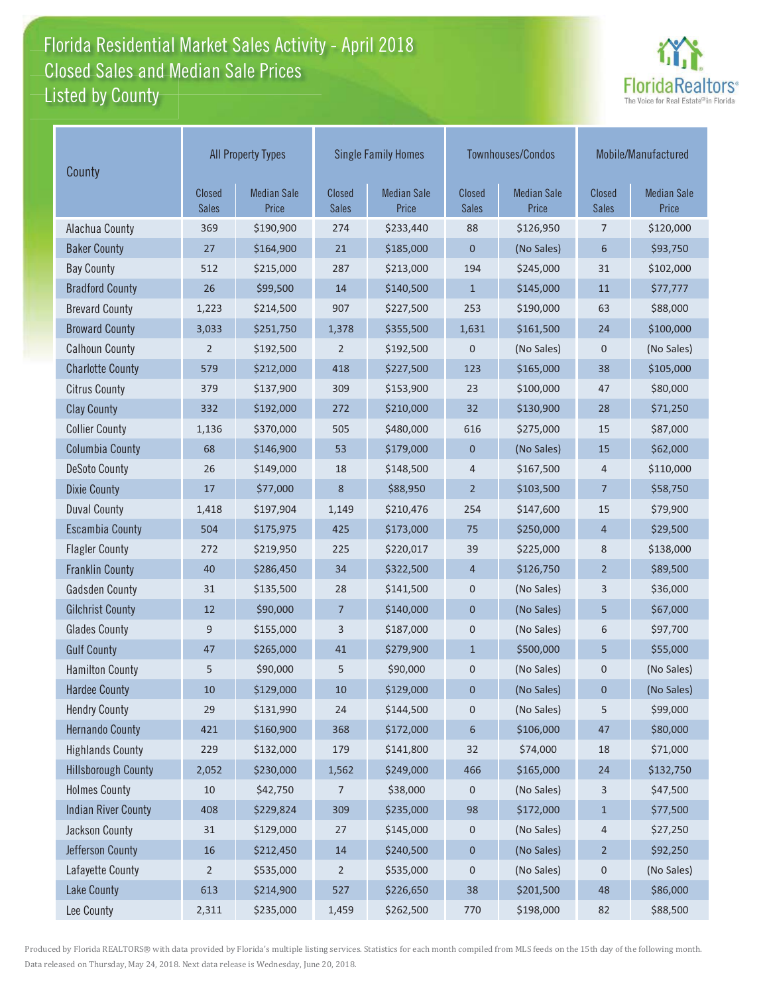## Florida Residential Market Sales Activity - April 2018 Florida Residential Market Sales Activity Listed by County Closed Sales and Median Sale Prices



| County                     | <b>All Property Types</b>     |                             |                        | <b>Single Family Homes</b>  |                        | Townhouses/Condos           | Mobile/Manufactured    |                             |
|----------------------------|-------------------------------|-----------------------------|------------------------|-----------------------------|------------------------|-----------------------------|------------------------|-----------------------------|
|                            | <b>Closed</b><br><b>Sales</b> | <b>Median Sale</b><br>Price | Closed<br><b>Sales</b> | <b>Median Sale</b><br>Price | Closed<br><b>Sales</b> | <b>Median Sale</b><br>Price | Closed<br><b>Sales</b> | <b>Median Sale</b><br>Price |
| Alachua County             | 369                           | \$190,900                   | 274                    | \$233,440                   | 88                     | \$126,950                   | 7                      | \$120,000                   |
| <b>Baker County</b>        | 27                            | \$164,900                   | 21                     | \$185,000                   | 0                      | (No Sales)                  | 6                      | \$93,750                    |
| <b>Bay County</b>          | 512                           | \$215,000                   | 287                    | \$213,000                   | 194                    | \$245,000                   | 31                     | \$102,000                   |
| <b>Bradford County</b>     | 26                            | \$99,500                    | 14                     | \$140,500                   | $\mathbf{1}$           | \$145,000                   | 11                     | \$77,777                    |
| <b>Brevard County</b>      | 1,223                         | \$214,500                   | 907                    | \$227,500                   | 253                    | \$190,000                   | 63                     | \$88,000                    |
| <b>Broward County</b>      | 3,033                         | \$251,750                   | 1,378                  | \$355,500                   | 1,631                  | \$161,500                   | 24                     | \$100,000                   |
| <b>Calhoun County</b>      | $\overline{2}$                | \$192,500                   | 2                      | \$192,500                   | 0                      | (No Sales)                  | 0                      | (No Sales)                  |
| <b>Charlotte County</b>    | 579                           | \$212,000                   | 418                    | \$227,500                   | 123                    | \$165,000                   | 38                     | \$105,000                   |
| <b>Citrus County</b>       | 379                           | \$137,900                   | 309                    | \$153,900                   | 23                     | \$100,000                   | 47                     | \$80,000                    |
| <b>Clay County</b>         | 332                           | \$192,000                   | 272                    | \$210,000                   | 32                     | \$130,900                   | 28                     | \$71,250                    |
| <b>Collier County</b>      | 1,136                         | \$370,000                   | 505                    | \$480,000                   | 616                    | \$275,000                   | 15                     | \$87,000                    |
| <b>Columbia County</b>     | 68                            | \$146,900                   | 53                     | \$179,000                   | $\mathbf 0$            | (No Sales)                  | 15                     | \$62,000                    |
| <b>DeSoto County</b>       | 26                            | \$149,000                   | 18                     | \$148,500                   | 4                      | \$167,500                   | $\overline{4}$         | \$110,000                   |
| <b>Dixie County</b>        | 17                            | \$77,000                    | 8                      | \$88,950                    | $\overline{2}$         | \$103,500                   | $\overline{7}$         | \$58,750                    |
| <b>Duval County</b>        | 1,418                         | \$197,904                   | 1,149                  | \$210,476                   | 254                    | \$147,600                   | 15                     | \$79,900                    |
| <b>Escambia County</b>     | 504                           | \$175,975                   | 425                    | \$173,000                   | 75                     | \$250,000                   | $\overline{4}$         | \$29,500                    |
| <b>Flagler County</b>      | 272                           | \$219,950                   | 225                    | \$220,017                   | 39                     | \$225,000                   | 8                      | \$138,000                   |
| <b>Franklin County</b>     | 40                            | \$286,450                   | 34                     | \$322,500                   | $\overline{4}$         | \$126,750                   | $\overline{2}$         | \$89,500                    |
| <b>Gadsden County</b>      | 31                            | \$135,500                   | 28                     | \$141,500                   | $\pmb{0}$              | (No Sales)                  | 3                      | \$36,000                    |
| <b>Gilchrist County</b>    | 12                            | \$90,000                    | 7                      | \$140,000                   | $\boldsymbol{0}$       | (No Sales)                  | 5                      | \$67,000                    |
| <b>Glades County</b>       | 9                             | \$155,000                   | 3                      | \$187,000                   | $\boldsymbol{0}$       | (No Sales)                  | 6                      | \$97,700                    |
| <b>Gulf County</b>         | 47                            | \$265,000                   | 41                     | \$279,900                   | $\mathbf{1}$           | \$500,000                   | 5                      | \$55,000                    |
| <b>Hamilton County</b>     | 5                             | \$90,000                    | 5                      | \$90,000                    | 0                      | (No Sales)                  | 0                      | (No Sales)                  |
| <b>Hardee County</b>       | 10                            | \$129,000                   | 10                     | \$129,000                   | 0                      | (No Sales)                  | $\mathbf 0$            | (No Sales)                  |
| <b>Hendry County</b>       | 29                            | \$131,990                   | 24                     | \$144,500                   | 0                      | (No Sales)                  | 5                      | \$99,000                    |
| <b>Hernando County</b>     | 421                           | \$160,900                   | 368                    | \$172,000                   | 6                      | \$106,000                   | 47                     | \$80,000                    |
| <b>Highlands County</b>    | 229                           | \$132,000                   | 179                    | \$141,800                   | 32                     | \$74,000                    | 18                     | \$71,000                    |
| <b>Hillsborough County</b> | 2,052                         | \$230,000                   | 1,562                  | \$249,000                   | 466                    | \$165,000                   | 24                     | \$132,750                   |
| <b>Holmes County</b>       | 10                            | \$42,750                    | 7                      | \$38,000                    | 0                      | (No Sales)                  | 3                      | \$47,500                    |
| <b>Indian River County</b> | 408                           | \$229,824                   | 309                    | \$235,000                   | 98                     | \$172,000                   | $\mathbf{1}$           | \$77,500                    |
| Jackson County             | $31\,$                        | \$129,000                   | $27\,$                 | \$145,000                   | 0                      | (No Sales)                  | 4                      | \$27,250                    |
| Jefferson County           | 16                            | \$212,450                   | 14                     | \$240,500                   | $\boldsymbol{0}$       | (No Sales)                  | $\overline{2}$         | \$92,250                    |
| Lafayette County           | $\overline{2}$                | \$535,000                   | 2                      | \$535,000                   | $\pmb{0}$              | (No Sales)                  | 0                      | (No Sales)                  |
| <b>Lake County</b>         | 613                           | \$214,900                   | 527                    | \$226,650                   | 38                     | \$201,500                   | 48                     | \$86,000                    |
| Lee County                 | 2,311                         | \$235,000                   | 1,459                  | \$262,500                   | 770                    | \$198,000                   | 82                     | \$88,500                    |

Produced by Florida REALTORS® with data provided by Florida's multiple listing services. Statistics for each month compiled from MLS feeds on the 15th day of the following month. Data released on Thursday, May 24, 2018. Next data release is Wednesday, June 20, 2018.